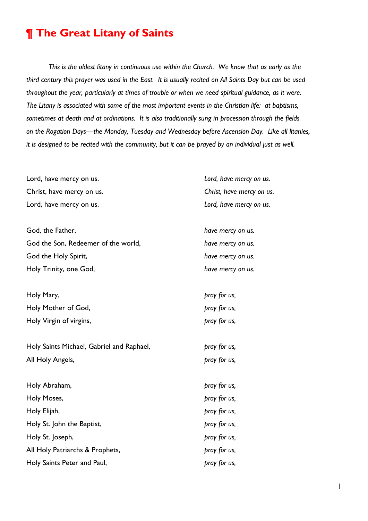## **¶ The Great Litany of Saints**

*This is the oldest litany in continuous use within the Church. We know that as early as the third century this prayer was used in the East. It is usually recited on All Saints Day but can be used throughout the year, particularly at times of trouble or when we need spiritual guidance, as it were. The Litany is associated with some of the most important events in the Christian life: at baptisms, sometimes at death and at ordinations. It is also traditionally sung in procession through the fields on the Rogation Days—the Monday, Tuesday and Wednesday before Ascension Day. Like all litanies, it is designed to be recited with the community, but it can be prayed by an individual just as well.*

| Lord, have mercy on us.                   | Lord, have mercy on us.   |
|-------------------------------------------|---------------------------|
| Christ, have mercy on us.                 | Christ, have mercy on us. |
| Lord, have mercy on us.                   | Lord, have mercy on us.   |
|                                           |                           |
| God, the Father,                          | have mercy on us.         |
| God the Son, Redeemer of the world,       | have mercy on us.         |
| God the Holy Spirit,                      | have mercy on us.         |
| Holy Trinity, one God,                    | have mercy on us.         |
|                                           |                           |
| Holy Mary,                                | pray for us,              |
| Holy Mother of God,                       | pray for us,              |
| Holy Virgin of virgins,                   | pray for us,              |
|                                           |                           |
| Holy Saints Michael, Gabriel and Raphael, | pray for us,              |
| All Holy Angels,                          | pray for us,              |
|                                           |                           |
| Holy Abraham,                             | pray for us,              |
| Holy Moses,                               | pray for us,              |
| Holy Elijah,                              | pray for us,              |
| Holy St. John the Baptist,                | pray for us,              |
| Holy St. Joseph,                          | pray for us,              |
| All Holy Patriarchs & Prophets,           | pray for us,              |
| Holy Saints Peter and Paul,               | pray for us,              |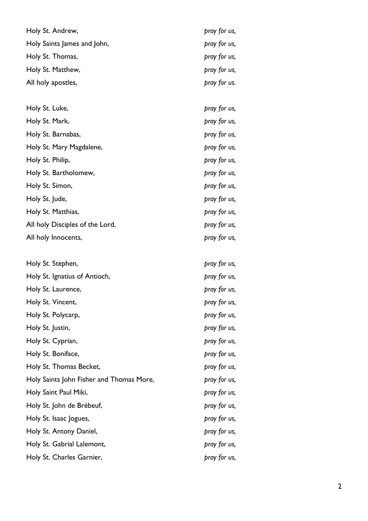| Holy St. Andrew,                         | pray for us, |
|------------------------------------------|--------------|
| Holy Saints James and John,              | pray for us, |
| Holy St. Thomas,                         | pray for us, |
| Holy St. Matthew,                        | pray for us, |
| All holy apostles,                       | pray for us. |
|                                          |              |
| Holy St. Luke,                           | pray for us, |
| Holy St. Mark,                           | pray for us, |
| Holy St. Barnabas,                       | pray for us, |
| Holy St. Mary Magdalene,                 | pray for us, |
| Holy St. Philip,                         | pray for us, |
| Holy St. Bartholomew,                    | pray for us, |
| Holy St. Simon,                          | pray for us, |
| Holy St. Jude,                           | pray for us, |
| Holy St. Matthias,                       | pray for us, |
| All holy Disciples of the Lord,          | pray for us, |
| All holy Innocents,                      | pray for us, |
|                                          |              |
| Holy St. Stephen,                        | pray for us, |
| Holy St. Ignatius of Antioch,            | pray for us, |
| Holy St. Laurence,                       | pray for us, |
| Holy St. Vincent,                        | pray for us, |
| Holy St. Polycarp,                       | pray for us, |
| Holy St. Justin,                         | pray for us, |
| Holy St. Cyprian,                        | pray for us, |
| Holy St. Boniface,                       | pray for us, |
| Holy St. Thomas Becket,                  | pray for us, |
| Holy Saints John Fisher and Thomas More, | pray for us, |
| Holy Saint Paul Miki,                    | pray for us, |
| Holy St. John de Brébeuf,                | pray for us, |
| Holy St. Isaac Jogues,                   | pray for us, |
| Holy St. Antony Daniel,                  | pray for us, |
| Holy St. Gabrial Lalemont,               | pray for us, |
| Holy St. Charles Garnier,                | pray for us, |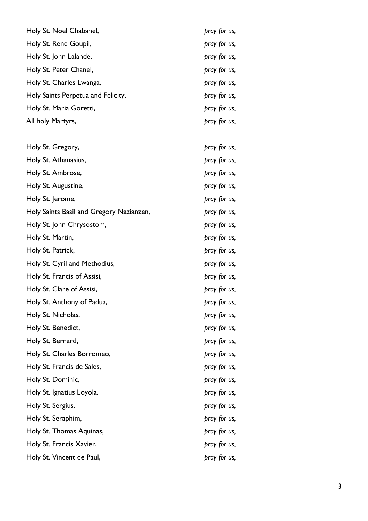| Holy St. Noel Chabanel,                  | pray for us, |
|------------------------------------------|--------------|
| Holy St. Rene Goupil,                    | pray for us, |
| Holy St. John Lalande,                   | pray for us, |
| Holy St. Peter Chanel,                   | pray for us, |
| Holy St. Charles Lwanga,                 | pray for us, |
| Holy Saints Perpetua and Felicity,       | pray for us, |
| Holy St. Maria Goretti,                  | pray for us, |
| All holy Martyrs,                        | pray for us, |
| Holy St. Gregory,                        | pray for us, |
| Holy St. Athanasius,                     | pray for us, |
| Holy St. Ambrose,                        | pray for us, |
| Holy St. Augustine,                      | pray for us, |
| Holy St. Jerome,                         | pray for us, |
| Holy Saints Basil and Gregory Nazianzen, | pray for us, |
| Holy St. John Chrysostom,                | pray for us, |
| Holy St. Martin,                         | pray for us, |
| Holy St. Patrick,                        | pray for us, |
| Holy St. Cyril and Methodius,            | pray for us, |
| Holy St. Francis of Assisi,              | pray for us, |
| Holy St. Clare of Assisi,                | pray for us, |
| Holy St. Anthony of Padua,               | pray for us, |
| Holy St. Nicholas,                       | pray for us, |
| Holy St. Benedict,                       | pray for us, |
| Holy St. Bernard,                        | pray for us, |
| Holy St. Charles Borromeo,               | pray for us, |
| Holy St. Francis de Sales,               | pray for us, |
| Holy St. Dominic,                        | pray for us, |
| Holy St. Ignatius Loyola,                | pray for us, |
| Holy St. Sergius,                        | pray for us, |
| Holy St. Seraphim,                       | pray for us, |
| Holy St. Thomas Aquinas,                 | pray for us, |
| Holy St. Francis Xavier,                 | pray for us, |
| Holy St. Vincent de Paul,                | pray for us, |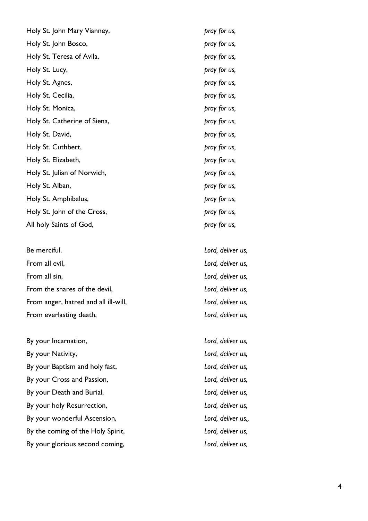| Holy St. John Mary Vianney,  | pray for us,      |
|------------------------------|-------------------|
| Holy St. John Bosco,         | pray for us,      |
| Holy St. Teresa of Avila,    | pray for us,      |
| Holy St. Lucy,               | pray for us,      |
| Holy St. Agnes,              | pray for us,      |
| Holy St. Cecilia,            | pray for us,      |
| Holy St. Monica,             | pray for us,      |
| Holy St. Catherine of Siena, | pray for us,      |
| Holy St. David,              | pray for us,      |
| Holy St. Cuthbert,           | pray for us,      |
| Holy St. Elizabeth,          | pray for us,      |
| Holy St. Julian of Norwich,  | pray for us,      |
| Holy St. Alban,              | pray for us,      |
| Holy St. Amphibalus,         | pray for us,      |
| Holy St. John of the Cross,  | pray for us,      |
| All holy Saints of God,      | pray for us,      |
| Be merciful.                 | Lord, deliver us, |
| From all evil,               | Lord, deliver us, |

From all sin, *Lord, deliver us,* From the snares of the devil, *Lord, deliver us,* From anger, hatred and all ill-will, **Example 20** Lord, deliver us, From everlasting death, *Lord, deliver us,* 

By your Incarnation,  $Lord$ , deliver us, By your Nativity, *Lord, deliver us,* By your Baptism and holy fast, *Lord, deliver us,* By your Cross and Passion, *Lord, deliver us,* By your Death and Burial, *Lord, deliver us,* By your holy Resurrection, *Lord, deliver us,* By your wonderful Ascension, *Lord, deliver us,,* By the coming of the Holy Spirit, **Example 20 Inc.** Lord, deliver us, By your glorious second coming, *Lord, deliver us,*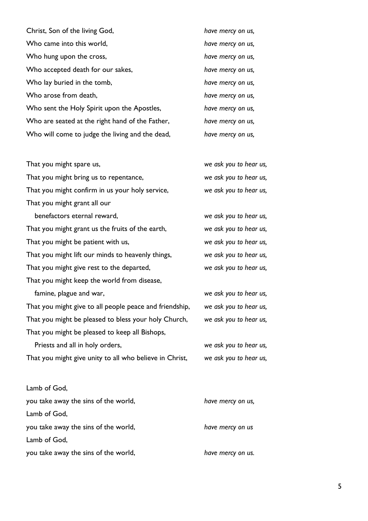| Christ, Son of the living God,                  | have mercy on us, |
|-------------------------------------------------|-------------------|
| Who came into this world,                       | have mercy on us, |
| Who hung upon the cross,                        | have mercy on us, |
| Who accepted death for our sakes,               | have mercy on us, |
| Who lay buried in the tomb,                     | have mercy on us, |
| Who arose from death,                           | have mercy on us, |
| Who sent the Holy Spirit upon the Apostles,     | have mercy on us, |
| Who are seated at the right hand of the Father, | have mercy on us, |
| Who will come to judge the living and the dead, | have mercy on us, |
|                                                 |                   |

| That you might spare us,                                | we ask you to hear us, |
|---------------------------------------------------------|------------------------|
| That you might bring us to repentance,                  | we ask you to hear us, |
| That you might confirm in us your holy service,         | we ask you to hear us, |
| That you might grant all our                            |                        |
| benefactors eternal reward,                             | we ask you to hear us, |
| That you might grant us the fruits of the earth,        | we ask you to hear us, |
| That you might be patient with us,                      | we ask you to hear us, |
| That you might lift our minds to heavenly things,       | we ask you to hear us, |
| That you might give rest to the departed,               | we ask you to hear us, |
| That you might keep the world from disease,             |                        |
| famine, plague and war,                                 | we ask you to hear us, |
| That you might give to all people peace and friendship, | we ask you to hear us, |
| That you might be pleased to bless your holy Church,    | we ask you to hear us, |
| That you might be pleased to keep all Bishops,          |                        |
| Priests and all in holy orders,                         | we ask you to hear us, |
| That you might give unity to all who believe in Christ, | we ask you to hear us, |
|                                                         |                        |

| Lamb of God,                         |                   |
|--------------------------------------|-------------------|
| you take away the sins of the world, | have mercy on us, |
| Lamb of God,                         |                   |
| you take away the sins of the world, | have mercy on us  |
| Lamb of God,                         |                   |
| you take away the sins of the world, | have mercy on us. |